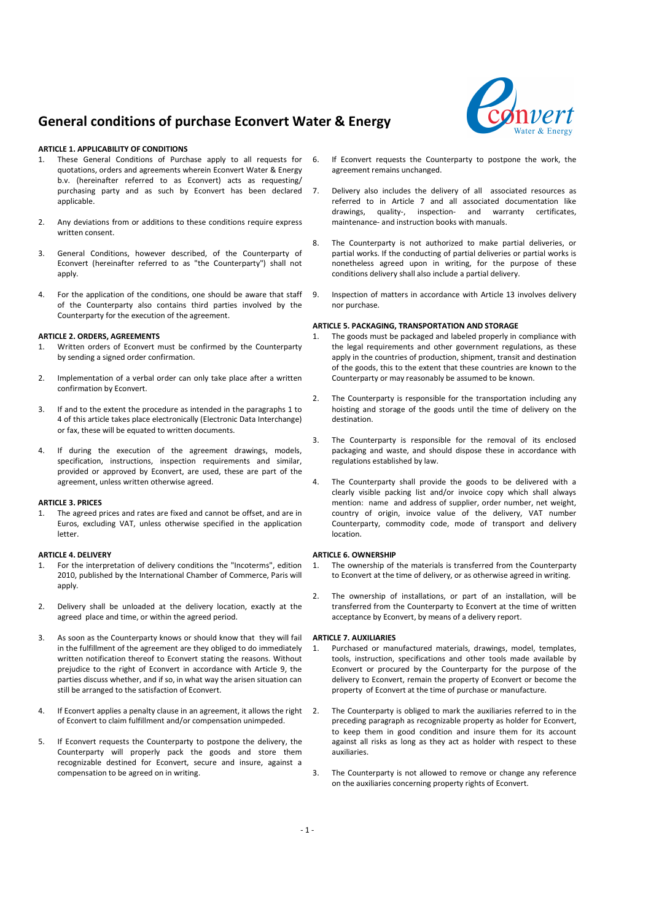# **General conditions of purchase Econvert Water & Energy**



### **ARTICLE 1. APPLICABILITY OF CONDITIONS**

- These General Conditions of Purchase apply to all requests for quotations, orders and agreements wherein Econvert Water & Energy b.v. (hereinafter referred to as Econvert) acts as requesting/ purchasing party and as such by Econvert has been declared applicable.
- 2. Any deviations from or additions to these conditions require express written consent.
- 3. General Conditions, however described, of the Counterparty of Econvert (hereinafter referred to as "the Counterparty") shall not apply.
- 4. For the application of the conditions, one should be aware that staff of the Counterparty also contains third parties involved by the Counterparty for the execution of the agreement.

#### **ARTICLE 2. ORDERS, AGREEMENTS**

- Written orders of Econvert must be confirmed by the Counterparty by sending a signed order confirmation.
- 2. Implementation of a verbal order can only take place after a written confirmation by Econvert.
- 3. If and to the extent the procedure as intended in the paragraphs 1 to 4 of this article takes place electronically (Electronic Data Interchange) or fax, these will be equated to written documents.
- 4. If during the execution of the agreement drawings, models, specification, instructions, inspection requirements and similar, provided or approved by Econvert, are used, these are part of the agreement, unless written otherwise agreed.

### **ARTICLE 3. PRICES**

The agreed prices and rates are fixed and cannot be offset, and are in Euros, excluding VAT, unless otherwise specified in the application letter.

### **ARTICLE 4. DELIVERY**

- 1. For the interpretation of delivery conditions the "Incoterms", edition 2010, published by the International Chamber of Commerce, Paris will apply.
- 2. Delivery shall be unloaded at the delivery location, exactly at the agreed place and time, or within the agreed period.
- 3. As soon as the Counterparty knows or should know that they will fail in the fulfillment of the agreement are they obliged to do immediately written notification thereof to Econvert stating the reasons. Without prejudice to the right of Econvert in accordance with Article 9, the parties discuss whether, and if so, in what way the arisen situation can still be arranged to the satisfaction of Econvert.
- 4. If Econvert applies a penalty clause in an agreement, it allows the right of Econvert to claim fulfillment and/or compensation unimpeded.
- 5. If Econvert requests the Counterparty to postpone the delivery, the Counterparty will properly pack the goods and store them recognizable destined for Econvert, secure and insure, against a compensation to be agreed on in writing.
- 6. If Econvert requests the Counterparty to postpone the work, the agreement remains unchanged.
- 7. Delivery also includes the delivery of all associated resources as referred to in Article 7 and all associated documentation like drawings, quality-, inspection- and warranty certificates, maintenance- and instruction books with manuals.
- 8. The Counterparty is not authorized to make partial deliveries, or partial works. If the conducting of partial deliveries or partial works is nonetheless agreed upon in writing, for the purpose of these conditions delivery shall also include a partial delivery.
- 9. Inspection of matters in accordance with Article 13 involves delivery nor purchase.

### **ARTICLE 5. PACKAGING, TRANSPORTATION AND STORAGE**

- The goods must be packaged and labeled properly in compliance with the legal requirements and other government regulations, as these apply in the countries of production, shipment, transit and destination of the goods, this to the extent that these countries are known to the Counterparty or may reasonably be assumed to be known.
- 2. The Counterparty is responsible for the transportation including any hoisting and storage of the goods until the time of delivery on the destination.
- The Counterparty is responsible for the removal of its enclosed packaging and waste, and should dispose these in accordance with regulations established by law.
- The Counterparty shall provide the goods to be delivered with a clearly visible packing list and/or invoice copy which shall always mention: name and address of supplier, order number, net weight, country of origin, invoice value of the delivery, VAT number Counterparty, commodity code, mode of transport and delivery location.

### **ARTICLE 6. OWNERSHIP**

- 1. The ownership of the materials is transferred from the Counterparty to Econvert at the time of delivery, or as otherwise agreed in writing.
- 2. The ownership of installations, or part of an installation, will be transferred from the Counterparty to Econvert at the time of written acceptance by Econvert, by means of a delivery report.

### **ARTICLE 7. AUXILIARIES**

- 1. Purchased or manufactured materials, drawings, model, templates, tools, instruction, specifications and other tools made available by Econvert or procured by the Counterparty for the purpose of the delivery to Econvert, remain the property of Econvert or become the property of Econvert at the time of purchase or manufacture.
- 2. The Counterparty is obliged to mark the auxiliaries referred to in the preceding paragraph as recognizable property as holder for Econvert, to keep them in good condition and insure them for its account against all risks as long as they act as holder with respect to these auxiliaries.
- 3. The Counterparty is not allowed to remove or change any reference on the auxiliaries concerning property rights of Econvert.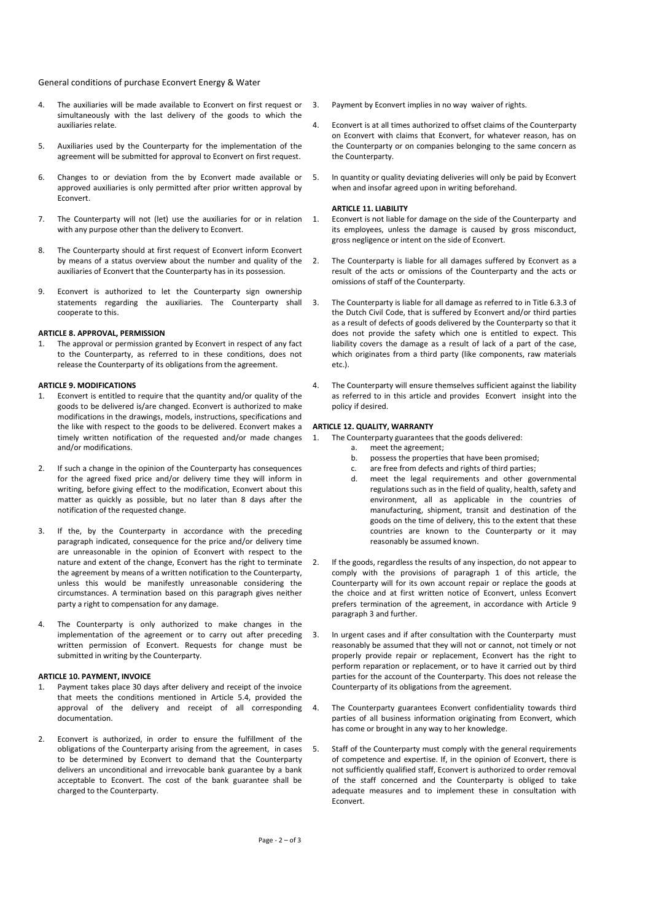General conditions of purchase Econvert Energy & Water

- 4. The auxiliaries will be made available to Econvert on first request or simultaneously with the last delivery of the goods to which the auxiliaries relate.
- 5. Auxiliaries used by the Counterparty for the implementation of the agreement will be submitted for approval to Econvert on first request.
- 6. Changes to or deviation from the by Econvert made available or approved auxiliaries is only permitted after prior written approval by Econvert.
- 7. The Counterparty will not (let) use the auxiliaries for or in relation with any purpose other than the delivery to Econvert.
- 8. The Counterparty should at first request of Econvert inform Econvert by means of a status overview about the number and quality of the auxiliaries of Econvert that the Counterparty has in its possession.
- 9. Econvert is authorized to let the Counterparty sign ownership statements regarding the auxiliaries. The Counterparty shall cooperate to this.

# **ARTICLE 8. APPROVAL, PERMISSION**

1. The approval or permission granted by Econvert in respect of any fact to the Counterparty, as referred to in these conditions, does not release the Counterparty of its obligations from the agreement.

### **ARTICLE 9. MODIFICATIONS**

- 1. Econvert is entitled to require that the quantity and/or quality of the goods to be delivered is/are changed. Econvert is authorized to make modifications in the drawings, models, instructions, specifications and the like with respect to the goods to be delivered. Econvert makes a timely written notification of the requested and/or made changes and/or modifications.
- 2. If such a change in the opinion of the Counterparty has consequences for the agreed fixed price and/or delivery time they will inform in writing, before giving effect to the modification, Econvert about this matter as quickly as possible, but no later than 8 days after the notification of the requested change.
- If the, by the Counterparty in accordance with the preceding paragraph indicated, consequence for the price and/or delivery time are unreasonable in the opinion of Econvert with respect to the nature and extent of the change, Econvert has the right to terminate the agreement by means of a written notification to the Counterparty, unless this would be manifestly unreasonable considering the circumstances. A termination based on this paragraph gives neither party a right to compensation for any damage.
- The Counterparty is only authorized to make changes in the implementation of the agreement or to carry out after preceding written permission of Econvert. Requests for change must be submitted in writing by the Counterparty.

#### **ARTICLE 10. PAYMENT, INVOICE**

- Payment takes place 30 days after delivery and receipt of the invoice that meets the conditions mentioned in Article 5.4, provided the approval of the delivery and receipt of all corresponding documentation.
- 2. Econvert is authorized, in order to ensure the fulfillment of the obligations of the Counterparty arising from the agreement, in cases to be determined by Econvert to demand that the Counterparty delivers an unconditional and irrevocable bank guarantee by a bank acceptable to Econvert. The cost of the bank guarantee shall be charged to the Counterparty.
- 3. Payment by Econvert implies in no way waiver of rights.
- 4. Econvert is at all times authorized to offset claims of the Counterparty on Econvert with claims that Econvert, for whatever reason, has on the Counterparty or on companies belonging to the same concern as the Counterparty.
- 5. In quantity or quality deviating deliveries will only be paid by Econvert when and insofar agreed upon in writing beforehand.

#### **ARTICLE 11. LIABILITY**

1. Econvert is not liable for damage on the side of the Counterparty and its employees, unless the damage is caused by gross misconduct, gross negligence or intent on the side of Econvert.

- 2. The Counterparty is liable for all damages suffered by Econvert as a result of the acts or omissions of the Counterparty and the acts or omissions of staff of the Counterparty.
- 3. The Counterparty is liable for all damage as referred to in Title 6.3.3 of the Dutch Civil Code, that is suffered by Econvert and/or third parties as a result of defects of goods delivered by the Counterparty so that it does not provide the safety which one is entitled to expect. This liability covers the damage as a result of lack of a part of the case, which originates from a third party (like components, raw materials etc.).
- 4. The Counterparty will ensure themselves sufficient against the liability as referred to in this article and provides Econvert insight into the policy if desired.

### **ARTICLE 12. QUALITY, WARRANTY**

1. The Counterparty guarantees that the goods delivered:

- a. meet the agreement;
	- b. possess the properties that have been promised;
	- c. are free from defects and rights of third parties;
- d. meet the legal requirements and other governmental regulations such as in the field of quality, health, safety and environment, all as applicable in the countries of manufacturing, shipment, transit and destination of the goods on the time of delivery, this to the extent that these countries are known to the Counterparty or it may reasonably be assumed known.
- If the goods, regardless the results of any inspection, do not appear to comply with the provisions of paragraph 1 of this article, the Counterparty will for its own account repair or replace the goods at the choice and at first written notice of Econvert, unless Econvert prefers termination of the agreement, in accordance with Article 9 paragraph 3 and further.
- In urgent cases and if after consultation with the Counterparty must reasonably be assumed that they will not or cannot, not timely or not properly provide repair or replacement, Econvert has the right to perform reparation or replacement, or to have it carried out by third parties for the account of the Counterparty. This does not release the Counterparty of its obligations from the agreement.
- 4. The Counterparty guarantees Econvert confidentiality towards third parties of all business information originating from Econvert, which has come or brought in any way to her knowledge.
- 5. Staff of the Counterparty must comply with the general requirements of competence and expertise. If, in the opinion of Econvert, there is not sufficiently qualified staff, Econvert is authorized to order removal of the staff concerned and the Counterparty is obliged to take adequate measures and to implement these in consultation with Econvert.